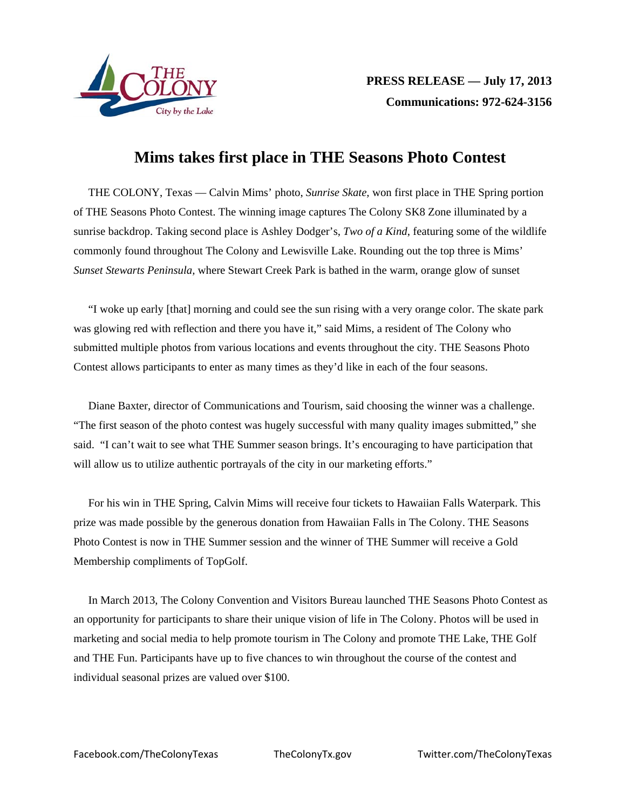

## **Mims takes first place in THE Seasons Photo Contest**

THE COLONY, Texas — Calvin Mims' photo, *Sunrise Skate,* won first place in THE Spring portion of THE Seasons Photo Contest. The winning image captures The Colony SK8 Zone illuminated by a sunrise backdrop. Taking second place is Ashley Dodger's, *Two of a Kind*, featuring some of the wildlife commonly found throughout The Colony and Lewisville Lake. Rounding out the top three is Mims' *Sunset Stewarts Peninsula,* where Stewart Creek Park is bathed in the warm, orange glow of sunset

"I woke up early [that] morning and could see the sun rising with a very orange color. The skate park was glowing red with reflection and there you have it," said Mims, a resident of The Colony who submitted multiple photos from various locations and events throughout the city. THE Seasons Photo Contest allows participants to enter as many times as they'd like in each of the four seasons.

Diane Baxter, director of Communications and Tourism, said choosing the winner was a challenge. "The first season of the photo contest was hugely successful with many quality images submitted," she said. "I can't wait to see what THE Summer season brings. It's encouraging to have participation that will allow us to utilize authentic portrayals of the city in our marketing efforts."

For his win in THE Spring, Calvin Mims will receive four tickets to Hawaiian Falls Waterpark. This prize was made possible by the generous donation from Hawaiian Falls in The Colony. THE Seasons Photo Contest is now in THE Summer session and the winner of THE Summer will receive a Gold Membership compliments of TopGolf.

In March 2013, The Colony Convention and Visitors Bureau launched THE Seasons Photo Contest as an opportunity for participants to share their unique vision of life in The Colony. Photos will be used in marketing and social media to help promote tourism in The Colony and promote THE Lake, THE Golf and THE Fun. Participants have up to five chances to win throughout the course of the contest and individual seasonal prizes are valued over \$100.